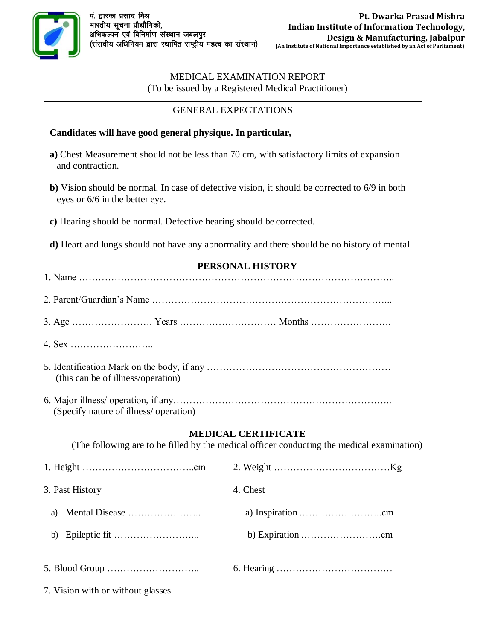

## MEDICAL EXAMINATION REPORT

| (To be issued by a Registered Medical Practitioner)                 |                                                                                                                          |
|---------------------------------------------------------------------|--------------------------------------------------------------------------------------------------------------------------|
|                                                                     | <b>GENERAL EXPECTATIONS</b>                                                                                              |
| Candidates will have good general physique. In particular,          |                                                                                                                          |
| and contraction.                                                    | a) Chest Measurement should not be less than 70 cm, with satisfactory limits of expansion                                |
| eyes or 6/6 in the better eye.                                      | b) Vision should be normal. In case of defective vision, it should be corrected to 6/9 in both                           |
| c) Hearing should be normal. Defective hearing should be corrected. |                                                                                                                          |
|                                                                     | d) Heart and lungs should not have any abnormality and there should be no history of mental                              |
|                                                                     | PERSONAL HISTORY                                                                                                         |
|                                                                     |                                                                                                                          |
|                                                                     |                                                                                                                          |
|                                                                     |                                                                                                                          |
| (this can be of illness/operation)                                  |                                                                                                                          |
| (Specify nature of illness/ operation)                              |                                                                                                                          |
|                                                                     | <b>MEDICAL CERTIFICATE</b><br>(The following are to be filled by the medical officer conducting the medical examination) |
|                                                                     |                                                                                                                          |
| 3. Past History                                                     | 4. Chest                                                                                                                 |
| a)                                                                  |                                                                                                                          |
| b)                                                                  |                                                                                                                          |
|                                                                     |                                                                                                                          |

7. Vision with or without glasses